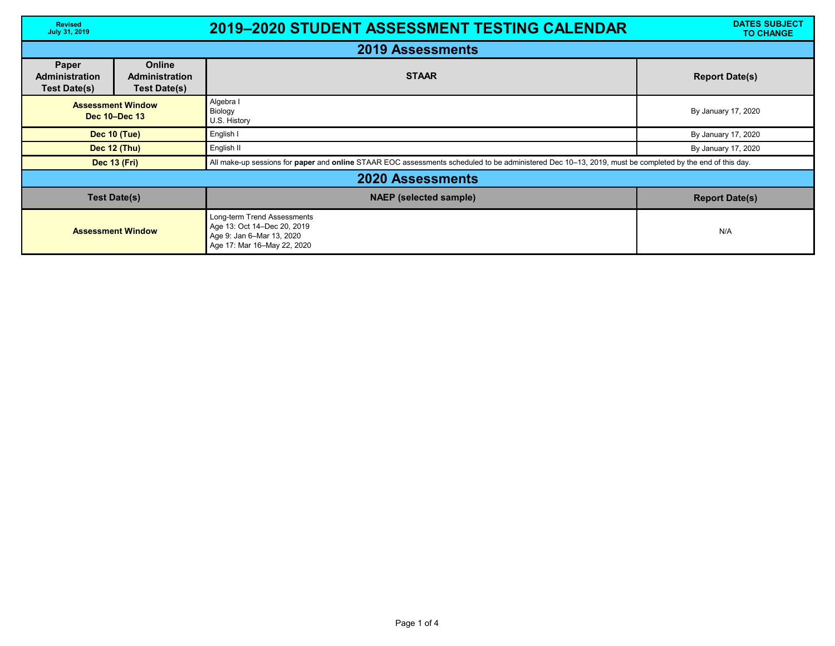| <b>Revised</b><br><b>July 31, 2019</b>                |                                                               | <b>2019-2020 STUDENT ASSESSMENT TESTING CALENDAR</b>                                                                                                    | <b>DATES SUBJECT</b><br><b>TO CHANGE</b> |  |  |  |
|-------------------------------------------------------|---------------------------------------------------------------|---------------------------------------------------------------------------------------------------------------------------------------------------------|------------------------------------------|--|--|--|
| <b>2019 Assessments</b>                               |                                                               |                                                                                                                                                         |                                          |  |  |  |
| Paper<br><b>Administration</b><br><b>Test Date(s)</b> | <b>Online</b><br><b>Administration</b><br><b>Test Date(s)</b> | <b>STAAR</b>                                                                                                                                            | <b>Report Date(s)</b>                    |  |  |  |
| <b>Assessment Window</b><br>Dec 10-Dec 13             |                                                               | Algebra<br>Biology<br>U.S. History                                                                                                                      | By January 17, 2020                      |  |  |  |
| <b>Dec 10 (Tue)</b>                                   |                                                               | English I                                                                                                                                               | By January 17, 2020                      |  |  |  |
| Dec 12 (Thu)                                          |                                                               | English II                                                                                                                                              | By January 17, 2020                      |  |  |  |
| <b>Dec 13 (Fri)</b>                                   |                                                               | All make-up sessions for paper and online STAAR EOC assessments scheduled to be administered Dec 10-13, 2019, must be completed by the end of this day. |                                          |  |  |  |
| <b>2020 Assessments</b>                               |                                                               |                                                                                                                                                         |                                          |  |  |  |
| <b>Test Date(s)</b>                                   |                                                               | <b>NAEP</b> (selected sample)                                                                                                                           | <b>Report Date(s)</b>                    |  |  |  |
| <b>Assessment Window</b>                              |                                                               | Long-term Trend Assessments<br>Age 13: Oct 14-Dec 20, 2019<br>Age 9: Jan 6-Mar 13, 2020<br>Age 17: Mar 16-May 22, 2020                                  | N/A                                      |  |  |  |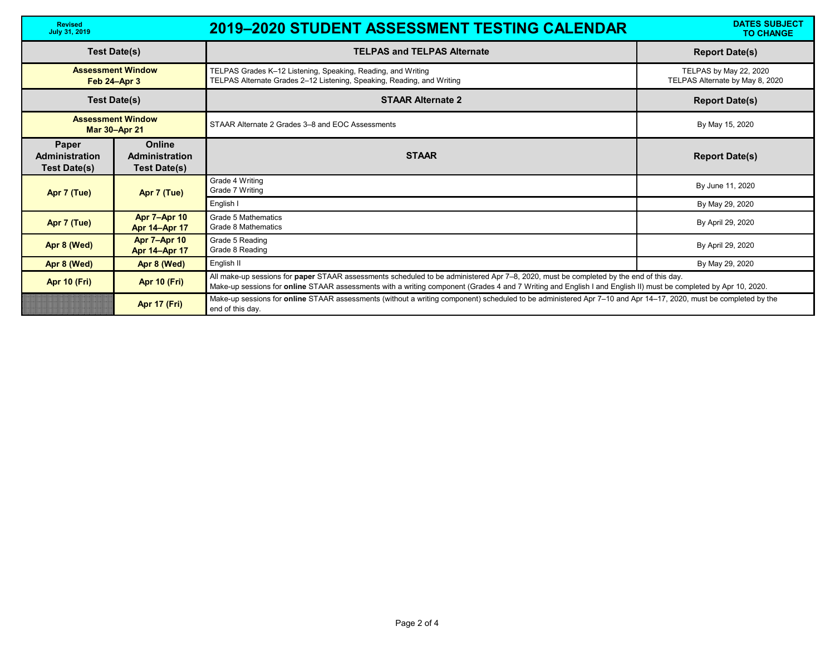| <b>Revised</b><br><b>July 31, 2019</b>                |                                                               | <b>2019-2020 STUDENT ASSESSMENT TESTING CALENDAR</b>                                                                                                                                                                                                                                                      | <b>DATES SUBJECT</b><br><b>TO CHANGE</b>                  |
|-------------------------------------------------------|---------------------------------------------------------------|-----------------------------------------------------------------------------------------------------------------------------------------------------------------------------------------------------------------------------------------------------------------------------------------------------------|-----------------------------------------------------------|
| <b>Test Date(s)</b>                                   |                                                               | <b>TELPAS and TELPAS Alternate</b>                                                                                                                                                                                                                                                                        | <b>Report Date(s)</b>                                     |
| <b>Assessment Window</b><br>Feb 24-Apr 3              |                                                               | TELPAS Grades K-12 Listening, Speaking, Reading, and Writing<br>TELPAS Alternate Grades 2-12 Listening, Speaking, Reading, and Writing                                                                                                                                                                    | TELPAS by May 22, 2020<br>TELPAS Alternate by May 8, 2020 |
| <b>Test Date(s)</b>                                   |                                                               | <b>STAAR Alternate 2</b>                                                                                                                                                                                                                                                                                  | <b>Report Date(s)</b>                                     |
| <b>Assessment Window</b><br><b>Mar 30-Apr 21</b>      |                                                               | STAAR Alternate 2 Grades 3–8 and EOC Assessments                                                                                                                                                                                                                                                          | By May 15, 2020                                           |
| Paper<br><b>Administration</b><br><b>Test Date(s)</b> | <b>Online</b><br><b>Administration</b><br><b>Test Date(s)</b> | <b>STAAR</b>                                                                                                                                                                                                                                                                                              | <b>Report Date(s)</b>                                     |
| Apr 7 (Tue)                                           | Apr 7 (Tue)                                                   | Grade 4 Writing<br>Grade 7 Writing                                                                                                                                                                                                                                                                        | By June 11, 2020                                          |
|                                                       |                                                               | English I                                                                                                                                                                                                                                                                                                 | By May 29, 2020                                           |
| Apr 7 (Tue)                                           | <b>Apr 7-Apr 10</b><br><b>Apr 14-Apr 17</b>                   | <b>Grade 5 Mathematics</b><br>Grade 8 Mathematics                                                                                                                                                                                                                                                         | By April 29, 2020                                         |
| Apr 8 (Wed)                                           | <b>Apr 7-Apr 10</b><br><b>Apr 14-Apr 17</b>                   | Grade 5 Reading<br>Grade 8 Reading                                                                                                                                                                                                                                                                        | By April 29, 2020                                         |
| Apr 8 (Wed)                                           | Apr 8 (Wed)                                                   | English II                                                                                                                                                                                                                                                                                                | By May 29, 2020                                           |
| <b>Apr 10 (Fri)</b>                                   | <b>Apr 10 (Fri)</b>                                           | All make-up sessions for paper STAAR assessments scheduled to be administered Apr 7-8, 2020, must be completed by the end of this day.<br>Make-up sessions for online STAAR assessments with a writing component (Grades 4 and 7 Writing and English I and English II) must be completed by Apr 10, 2020. |                                                           |
|                                                       | <b>Apr 17 (Fri)</b>                                           | Make-up sessions for online STAAR assessments (without a writing component) scheduled to be administered Apr 7-10 and Apr 14-17, 2020, must be completed by the<br>end of this day.                                                                                                                       |                                                           |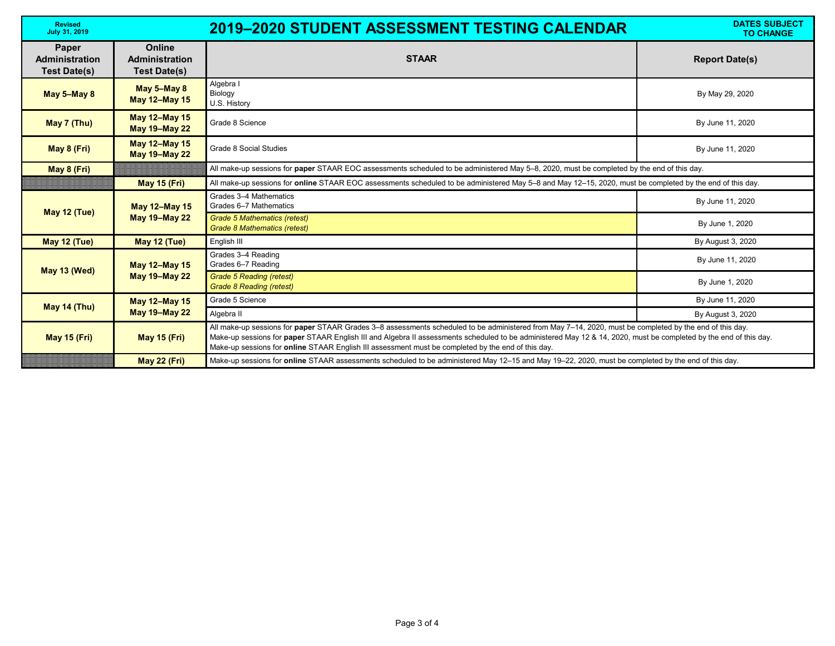| <b>Revised</b><br><b>July 31, 2019</b>                       |                                                               | <b>2019-2020 STUDENT ASSESSMENT TESTING CALENDAR</b>                                                                                                                                                                                                                                                                                                                                                                               | <b>DATES SUBJECT</b><br><b>TO CHANGE</b> |  |
|--------------------------------------------------------------|---------------------------------------------------------------|------------------------------------------------------------------------------------------------------------------------------------------------------------------------------------------------------------------------------------------------------------------------------------------------------------------------------------------------------------------------------------------------------------------------------------|------------------------------------------|--|
| <b>Paper</b><br><b>Administration</b><br><b>Test Date(s)</b> | <b>Online</b><br><b>Administration</b><br><b>Test Date(s)</b> | <b>STAAR</b>                                                                                                                                                                                                                                                                                                                                                                                                                       | <b>Report Date(s)</b>                    |  |
| May 5-May 8                                                  | May 5-May 8<br><b>May 12-May 15</b>                           | Algebra I<br>Biology<br>U.S. History                                                                                                                                                                                                                                                                                                                                                                                               | By May 29, 2020                          |  |
| May 7 (Thu)                                                  | <b>May 12-May 15</b><br><b>May 19-May 22</b>                  | Grade 8 Science                                                                                                                                                                                                                                                                                                                                                                                                                    | By June 11, 2020                         |  |
| May 8 (Fri)                                                  | <b>May 12-May 15</b><br><b>May 19-May 22</b>                  | <b>Grade 8 Social Studies</b>                                                                                                                                                                                                                                                                                                                                                                                                      | By June 11, 2020                         |  |
| May 8 (Fri)                                                  |                                                               | All make-up sessions for paper STAAR EOC assessments scheduled to be administered May 5-8, 2020, must be completed by the end of this day.                                                                                                                                                                                                                                                                                         |                                          |  |
|                                                              | <b>May 15 (Fri)</b>                                           | All make-up sessions for online STAAR EOC assessments scheduled to be administered May 5-8 and May 12-15, 2020, must be completed by the end of this day.                                                                                                                                                                                                                                                                          |                                          |  |
| May 12 (Tue)                                                 | <b>May 12-May 15</b><br><b>May 19-May 22</b>                  | Grades 3-4 Mathematics<br>Grades 6-7 Mathematics                                                                                                                                                                                                                                                                                                                                                                                   | By June 11, 2020                         |  |
|                                                              |                                                               | Grade 5 Mathematics (retest)<br><b>Grade 8 Mathematics (retest)</b>                                                                                                                                                                                                                                                                                                                                                                | By June 1, 2020                          |  |
| May 12 (Tue)                                                 | <b>May 12 (Tue)</b>                                           | English III                                                                                                                                                                                                                                                                                                                                                                                                                        | By August 3, 2020                        |  |
| May 13 (Wed)                                                 | <b>May 12-May 15</b><br><b>May 19-May 22</b>                  | Grades 3-4 Reading<br>Grades 6-7 Reading                                                                                                                                                                                                                                                                                                                                                                                           | By June 11, 2020                         |  |
|                                                              |                                                               | <b>Grade 5 Reading (retest)</b><br><b>Grade 8 Reading (retest)</b>                                                                                                                                                                                                                                                                                                                                                                 | By June 1, 2020                          |  |
| <b>May 14 (Thu)</b>                                          | <b>May 12-May 15</b><br><b>May 19-May 22</b>                  | Grade 5 Science                                                                                                                                                                                                                                                                                                                                                                                                                    | By June 11, 2020                         |  |
|                                                              |                                                               | Algebra II                                                                                                                                                                                                                                                                                                                                                                                                                         | By August 3, 2020                        |  |
| <b>May 15 (Fri)</b>                                          | <b>May 15 (Fri)</b>                                           | All make-up sessions for paper STAAR Grades 3–8 assessments scheduled to be administered from May 7–14, 2020, must be completed by the end of this day.<br>Make-up sessions for paper STAAR English III and Algebra II assessments scheduled to be administered May 12 & 14, 2020, must be completed by the end of this day.<br>Make-up sessions for online STAAR English III assessment must be completed by the end of this day. |                                          |  |
|                                                              | <b>May 22 (Fri)</b>                                           | Make-up sessions for online STAAR assessments scheduled to be administered May 12-15 and May 19-22, 2020, must be completed by the end of this day.                                                                                                                                                                                                                                                                                |                                          |  |